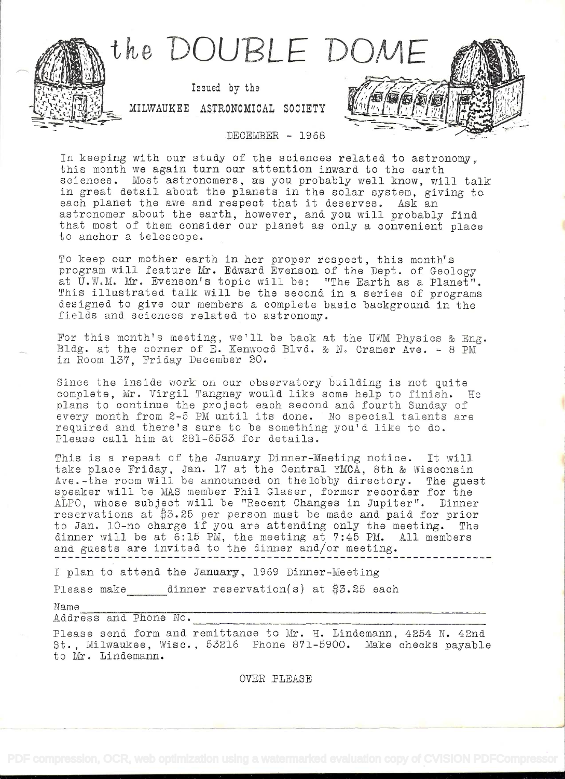

In keeping with our study of the sciences related to astronomy, this month we again turn our attention inward to the earth sciences. Most astronomers, as you probably well know, will talk in great detail about the planets in the solar system, giving to each planet the awe and respect that it deserves. Ask an astronomer about the earth, however, and you will probably find that most of them consider our planet as only a convenient place to anchor a telescope.

To keep our mother earth in her proper respect, this month's program will feature Mr. Edward Evenson of the Dept. of Geology at U.W.M. Mr. Evenson's topic will be: "The Earth as a Planet". This illustrated talk will be the second in a series of programs designed to give our members a complete basic background in the fields and sciences related to astronomy.

For this month's meeting, we'll be back at the UWM Physics & Eng. Bldg. at the corner of E. Kenwood Blvd. & N. Cramer Ave. - 8 PM in Room 137, Friday December 20.

Since the inside work on our observatory building is not quite complete, Mr. Virgil Tangney woald like some help to finish. He plans to continue the project each second and fourth Sunday o every month from 2-5 PM until its done. No special talents are required and there's sure to be something you'd like to do. Please call him at 281-6533 for details.

This is a repeat of the January Dinner-Meeting notice. It will take place Friday, Jan. 17 at the Central YMCA, 8th & Wisconsin Ave.-the room will be announced on thelobby directory. The guest speaker will be MAS member Phil Glaser, former recorder for the ALPO, whose subject will be "Recent Changes in Jupiter". Dinner reservations at  $$3.25$  per person must be made and paid for prior to Jan. 10-no charge if you are attending only the meeting. The dinner will be at 6:15 PM, the meeting at 7:45 PM. All members and guests are invited to the dinner and/or meeting.

<sup>I</sup>plan to attend the January, 1969 Dinner-Meeting

Please make dinner reservation(s) at  $$3.25$  each

Name

Address and Phone No.

Please send form and remittance to Mr. H. Lindemann, 4254 N. 42nd St., Milwaukee, Wisc., 53216 Phone 871-5900. Make checks payable to Mr. Lindemann.